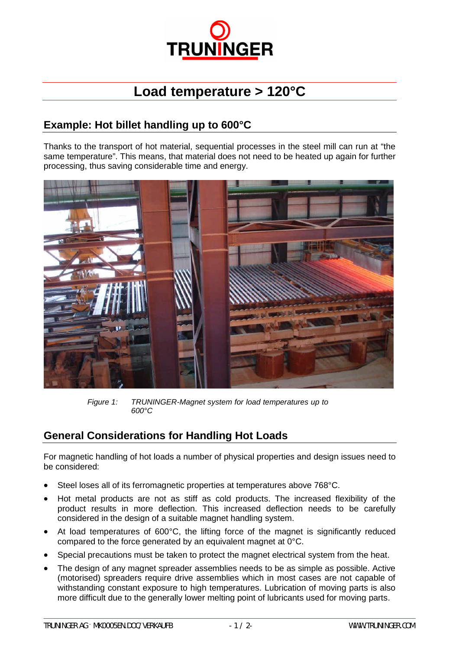

## **Load temperature > 120°C**

## **Example: Hot billet handling up to 600°C**

Thanks to the transport of hot material, sequential processes in the steel mill can run at "the same temperature". This means, that material does not need to be heated up again for further processing, thus saving considerable time and energy.



*Figure 1: TRUNINGER-Magnet system for load temperatures up to 600°C*

## **General Considerations for Handling Hot Loads**

For magnetic handling of hot loads a number of physical properties and design issues need to be considered:

- Steel loses all of its ferromagnetic properties at temperatures above 768°C.
- Hot metal products are not as stiff as cold products. The increased flexibility of the product results in more deflection. This increased deflection needs to be carefully considered in the design of a suitable magnet handling system.
- At load temperatures of 600°C, the lifting force of the magnet is significantly reduced compared to the force generated by an equivalent magnet at 0°C.
- Special precautions must be taken to protect the magnet electrical system from the heat.
- The design of any magnet spreader assemblies needs to be as simple as possible. Active (motorised) spreaders require drive assemblies which in most cases are not capable of withstanding constant exposure to high temperatures. Lubrication of moving parts is also more difficult due to the generally lower melting point of lubricants used for moving parts.